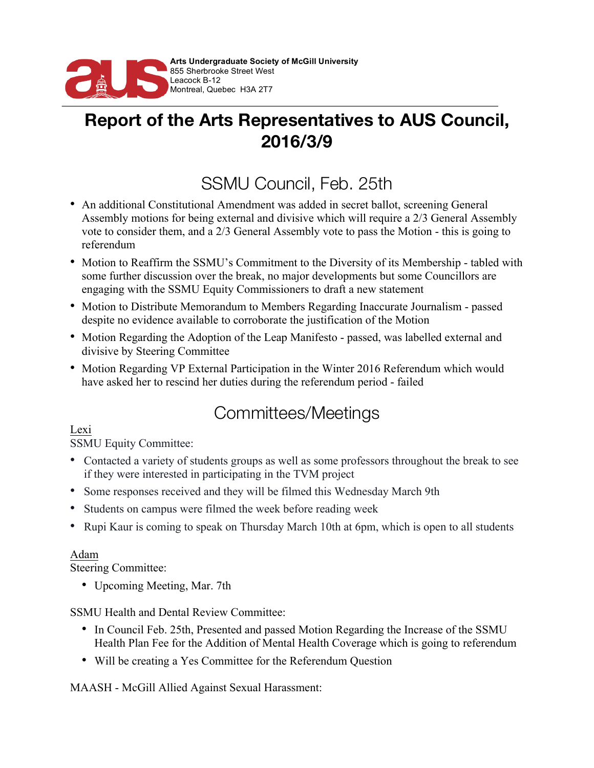

## **Report of the Arts Representatives to AUS Council, 2016/3/9**

## SSMU Council, Feb. 25th

- An additional Constitutional Amendment was added in secret ballot, screening General Assembly motions for being external and divisive which will require a 2/3 General Assembly vote to consider them, and a 2/3 General Assembly vote to pass the Motion - this is going to referendum
- Motion to Reaffirm the SSMU's Commitment to the Diversity of its Membership tabled with some further discussion over the break, no major developments but some Councillors are engaging with the SSMU Equity Commissioners to draft a new statement
- Motion to Distribute Memorandum to Members Regarding Inaccurate Journalism passed despite no evidence available to corroborate the justification of the Motion
- Motion Regarding the Adoption of the Leap Manifesto passed, was labelled external and divisive by Steering Committee
- Motion Regarding VP External Participation in the Winter 2016 Referendum which would have asked her to rescind her duties during the referendum period - failed

# Committees/Meetings

Lexi

SSMU Equity Committee:

- Contacted a variety of students groups as well as some professors throughout the break to see if they were interested in participating in the TVM project
- Some responses received and they will be filmed this Wednesday March 9th
- Students on campus were filmed the week before reading week
- Rupi Kaur is coming to speak on Thursday March 10th at 6pm, which is open to all students

### Adam

Steering Committee:

• Upcoming Meeting, Mar. 7th

SSMU Health and Dental Review Committee:

- In Council Feb. 25th, Presented and passed Motion Regarding the Increase of the SSMU Health Plan Fee for the Addition of Mental Health Coverage which is going to referendum
- Will be creating a Yes Committee for the Referendum Question

MAASH - McGill Allied Against Sexual Harassment: